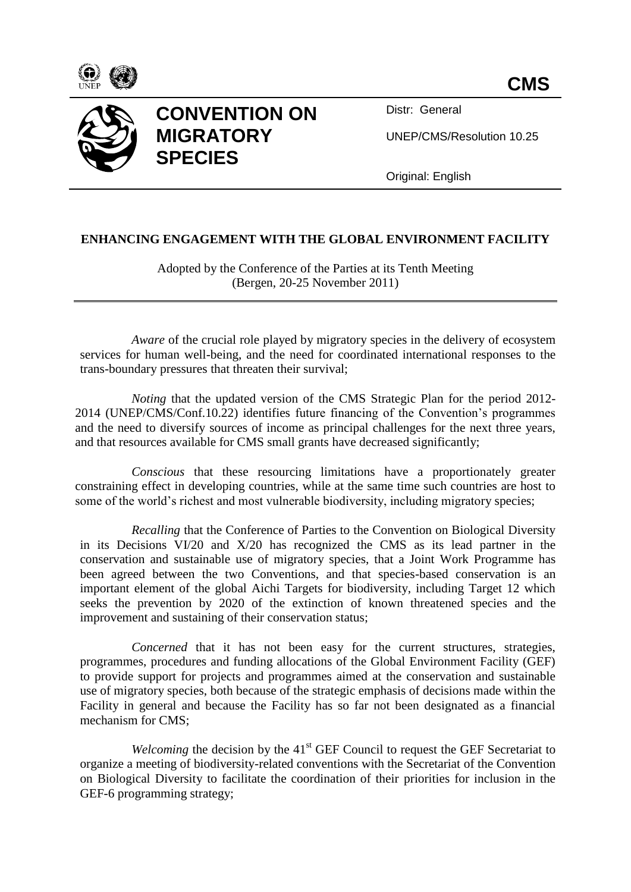



## **CONVENTION ON MIGRATORY SPECIES**

Distr: General

UNEP/CMS/Resolution 10.25

Original: English

## **ENHANCING ENGAGEMENT WITH THE GLOBAL ENVIRONMENT FACILITY**

Adopted by the Conference of the Parties at its Tenth Meeting (Bergen, 20-25 November 2011)

*Aware* of the crucial role played by migratory species in the delivery of ecosystem services for human well-being, and the need for coordinated international responses to the trans-boundary pressures that threaten their survival;

*Noting* that the updated version of the CMS Strategic Plan for the period 2012- 2014 (UNEP/CMS/Conf.10.22) identifies future financing of the Convention's programmes and the need to diversify sources of income as principal challenges for the next three years, and that resources available for CMS small grants have decreased significantly;

*Conscious* that these resourcing limitations have a proportionately greater constraining effect in developing countries, while at the same time such countries are host to some of the world's richest and most vulnerable biodiversity, including migratory species;

*Recalling* that the Conference of Parties to the Convention on Biological Diversity in its Decisions VI/20 and X/20 has recognized the CMS as its lead partner in the conservation and sustainable use of migratory species, that a Joint Work Programme has been agreed between the two Conventions, and that species-based conservation is an important element of the global Aichi Targets for biodiversity, including Target 12 which seeks the prevention by 2020 of the extinction of known threatened species and the improvement and sustaining of their conservation status;

*Concerned* that it has not been easy for the current structures, strategies, programmes, procedures and funding allocations of the Global Environment Facility (GEF) to provide support for projects and programmes aimed at the conservation and sustainable use of migratory species, both because of the strategic emphasis of decisions made within the Facility in general and because the Facility has so far not been designated as a financial mechanism for CMS;

*Welcoming* the decision by the 41<sup>st</sup> GEF Council to request the GEF Secretariat to organize a meeting of biodiversity-related conventions with the Secretariat of the Convention on Biological Diversity to facilitate the coordination of their priorities for inclusion in the GEF-6 programming strategy;